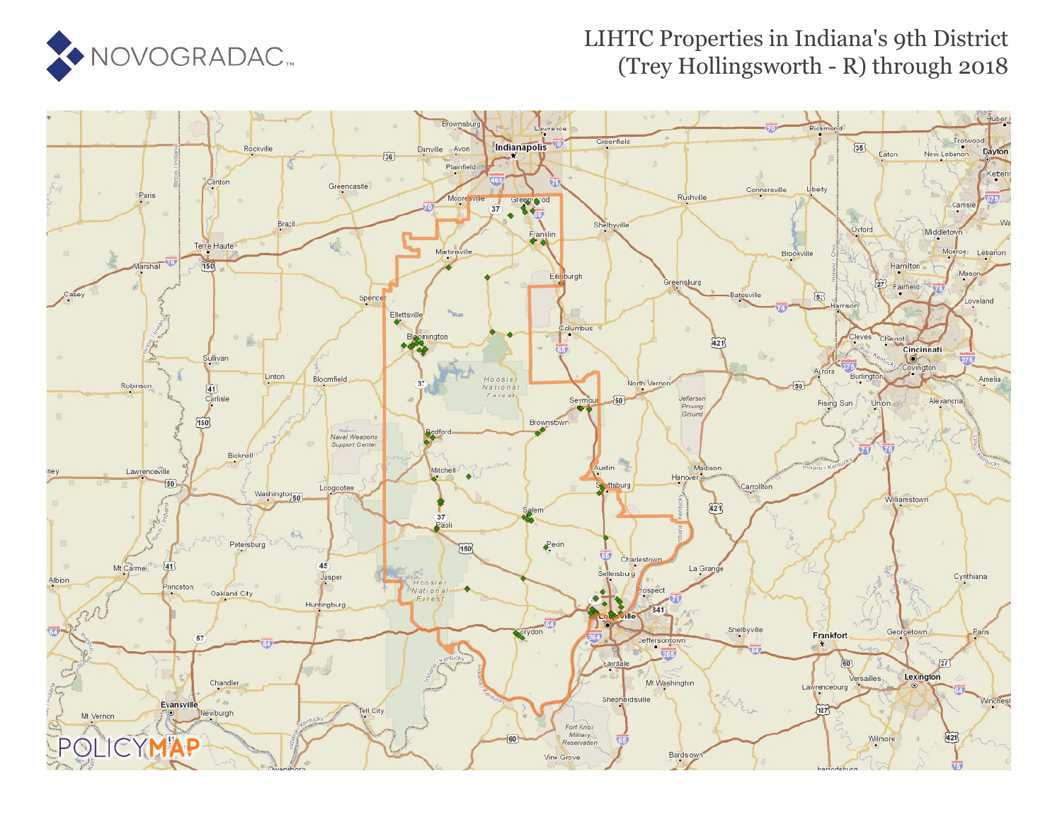

#### LIHTC Properties in Indiana's 9th District (Trey Hollingsworth - R) through 2018

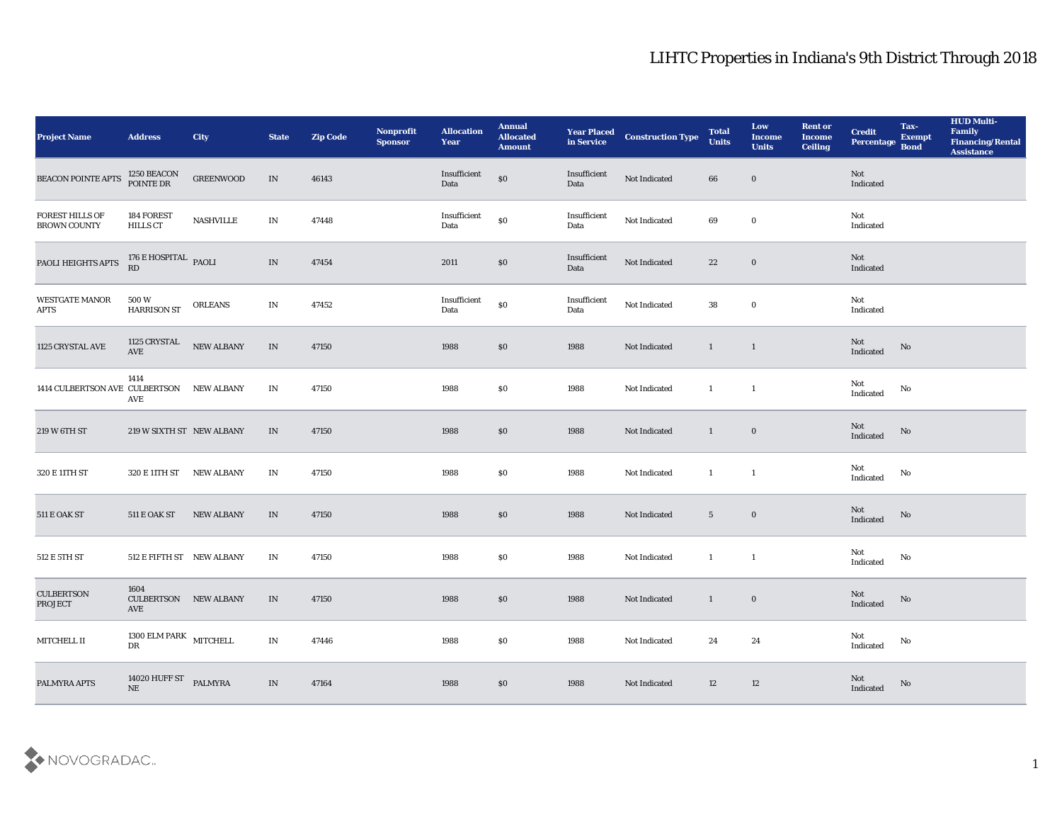| <b>Project Name</b>                       | <b>Address</b>                                               | <b>City</b>       | <b>State</b>                      | <b>Zip Code</b> | Nonprofit<br><b>Sponsor</b> | <b>Allocation</b><br><b>Year</b> | <b>Annual</b><br><b>Allocated</b><br><b>Amount</b> | <b>Year Placed<br/>in Service</b> | <b>Construction Type</b> | <b>Total</b><br><b>Units</b> | Low<br><b>Income</b><br><b>Units</b> | <b>Rent or</b><br><b>Income</b><br><b>Ceiling</b> | <b>Credit</b><br>Percentage       | Tax-<br><b>Exempt</b><br><b>Bond</b> | <b>HUD Multi-</b><br>Family<br><b>Financing/Rental</b><br><b>Assistance</b> |
|-------------------------------------------|--------------------------------------------------------------|-------------------|-----------------------------------|-----------------|-----------------------------|----------------------------------|----------------------------------------------------|-----------------------------------|--------------------------|------------------------------|--------------------------------------|---------------------------------------------------|-----------------------------------|--------------------------------------|-----------------------------------------------------------------------------|
| <b>BEACON POINTE APTS</b>                 | 1250 BEACON<br>POINTE DR                                     | <b>GREENWOOD</b>  | IN                                | 46143           |                             | Insufficient<br>Data             | $\$0$                                              | Insufficient<br>Data              | Not Indicated            | 66                           | $\bf{0}$                             |                                                   | Not<br>Indicated                  |                                      |                                                                             |
| FOREST HILLS OF<br><b>BROWN COUNTY</b>    | 184 FOREST<br><b>HILLS CT</b>                                | NASHVILLE         | $\mathbf{IN}$                     | 47448           |                             | Insufficient<br>Data             | $\$0$                                              | Insufficient<br>Data              | Not Indicated            | 69                           | $\bf{0}$                             |                                                   | Not<br>Indicated                  |                                      |                                                                             |
| PAOLI HEIGHTS APTS                        | 176 $E$ HOSPITAL $_{\rm PAOLI}$                              |                   | $\ensuremath{\text{IN}}\xspace$   | 47454           |                             | 2011                             | $\$0$                                              | Insufficient<br>Data              | Not Indicated            | 22                           | $\bf{0}$                             |                                                   | Not<br>Indicated                  |                                      |                                                                             |
| WESTGATE MANOR<br><b>APTS</b>             | 500 W<br>HARRISON ST                                         | <b>ORLEANS</b>    | $\mathbf{IN}$                     | 47452           |                             | $\bold{Insufficient}$<br>Data    | $\$0$                                              | Insufficient<br>Data              | Not Indicated            | 38                           | $\bf{0}$                             |                                                   | Not<br>Indicated                  |                                      |                                                                             |
| 1125 CRYSTAL AVE                          | 1125 CRYSTAL<br>AVE                                          | NEW ALBANY        | $\ensuremath{\text{IN}}\xspace$   | 47150           |                             | 1988                             | \$0                                                | 1988                              | Not Indicated            | $\mathbf{1}$                 | $\mathbf{1}$                         |                                                   | Not<br>Indicated                  | No                                   |                                                                             |
| 1414 CULBERTSON AVE CULBERTSON NEW ALBANY | 1414<br>AVE                                                  |                   | IN                                | 47150           |                             | 1988                             | \$0                                                | 1988                              | Not Indicated            | $\mathbf{1}$                 | $\mathbf{1}$                         |                                                   | Not<br>Indicated                  | No                                   |                                                                             |
| 219 W 6TH ST                              | 219 W SIXTH ST NEW ALBANY                                    |                   | IN                                | 47150           |                             | 1988                             | \$0                                                | 1988                              | Not Indicated            | $\mathbf{1}$                 | $\bf{0}$                             |                                                   | Not<br>Indicated                  | No                                   |                                                                             |
| 320 E 11TH ST                             | 320 E 11TH ST                                                | NEW ALBANY        | IN                                | 47150           |                             | 1988                             | \$0                                                | 1988                              | Not Indicated            | $\mathbf{1}$                 | $\mathbf{1}$                         |                                                   | Not<br>Indicated                  | No                                   |                                                                             |
| $511\to$ OAK ST                           | 511 E OAK ST                                                 | <b>NEW ALBANY</b> | IN                                | 47150           |                             | 1988                             | \$0                                                | 1988                              | Not Indicated            | $5\overline{)}$              | $\bf{0}$                             |                                                   | Not<br>Indicated                  | No                                   |                                                                             |
| $512\to 5\mathrm{TH}\ \mathrm{ST}$        | 512 E FIFTH ST NEW ALBANY                                    |                   | $\mathbf{IN}$                     | 47150           |                             | 1988                             | \$0                                                | 1988                              | Not Indicated            | $\mathbf{1}$                 | $\mathbf{1}$                         |                                                   | Not<br>Indicated                  | $\mathbf {No}$                       |                                                                             |
| <b>CULBERTSON</b><br><b>PROJECT</b>       | 1604<br><b>CULBERTSON NEW ALBANY</b><br>$\operatorname{AVE}$ |                   | IN                                | 47150           |                             | 1988                             | \$0                                                | 1988                              | Not Indicated            | $\mathbf{1}$                 | $\bf{0}$                             |                                                   | Not<br>Indicated                  | No                                   |                                                                             |
| $MITCHELL$ $\rm II$                       | $1300$ ELM PARK $$\rm MITCHELL$ DR                           |                   | $\mathbf{IN}$                     | 47446           |                             | 1988                             | \$0                                                | 1988                              | Not Indicated            | 24                           | 24                                   |                                                   | Not<br>$\operatorname{Indicated}$ | $\mathbf {No}$                       |                                                                             |
| PALMYRA APTS                              | 14020 HUFF ST PALMYRA NE                                     |                   | $\ensuremath{\text{\textbf{IN}}}$ | 47164           |                             | 1988                             | $\$0$                                              | 1988                              | Not Indicated            | 12                           | 12                                   |                                                   | Not<br>Indicated                  | $\mathbf {No}$                       |                                                                             |

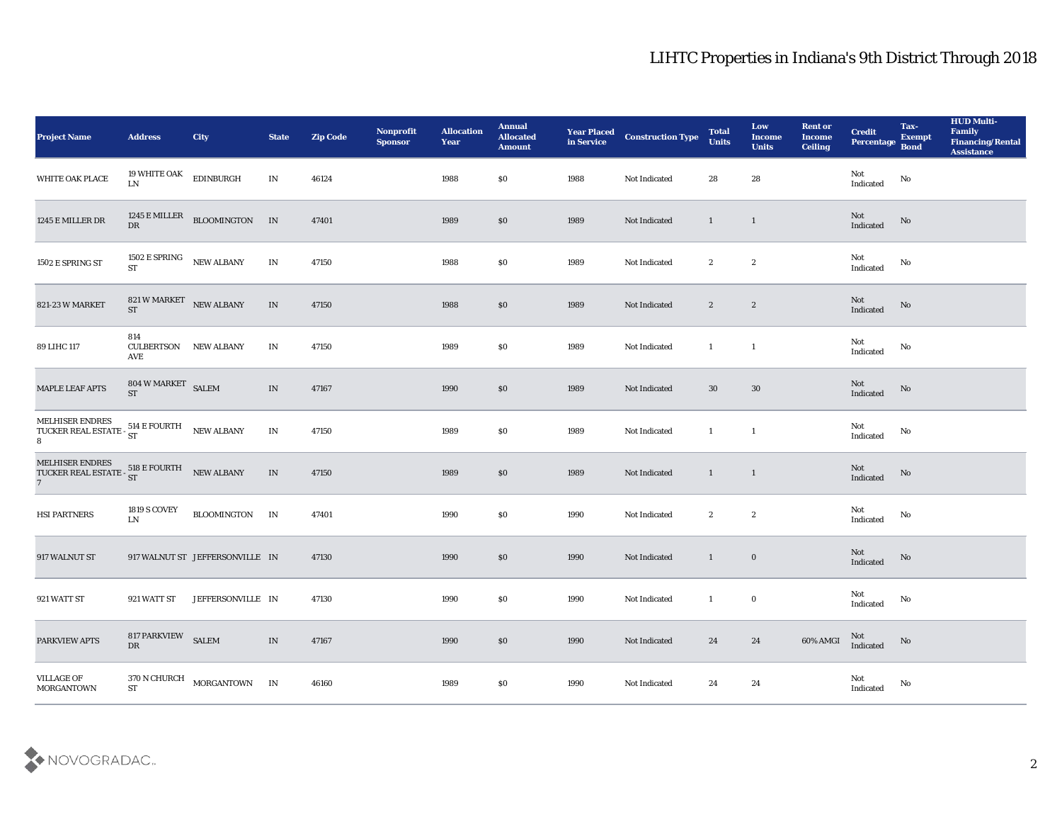| <b>Project Name</b>                                                                                                                                                                                                                               | <b>Address</b>                         | <b>City</b>                                         | <b>State</b>                    | <b>Zip Code</b> | Nonprofit<br><b>Sponsor</b> | <b>Allocation</b><br><b>Year</b> | <b>Annual</b><br><b>Allocated</b><br><b>Amount</b> | <b>Year Placed<br/>in Service</b> | <b>Construction Type</b> | <b>Total</b><br><b>Units</b> | Low<br><b>Income</b><br><b>Units</b> | <b>Rent or</b><br><b>Income</b><br><b>Ceiling</b> | <b>Credit</b><br>Percentage Bond      | Tax-<br><b>Exempt</b>  | <b>HUD Multi-</b><br>Family<br><b>Financing/Rental</b><br><b>Assistance</b> |
|---------------------------------------------------------------------------------------------------------------------------------------------------------------------------------------------------------------------------------------------------|----------------------------------------|-----------------------------------------------------|---------------------------------|-----------------|-----------------------------|----------------------------------|----------------------------------------------------|-----------------------------------|--------------------------|------------------------------|--------------------------------------|---------------------------------------------------|---------------------------------------|------------------------|-----------------------------------------------------------------------------|
| WHITE OAK PLACE                                                                                                                                                                                                                                   | 19 WHITE OAK<br>${\rm LN}$             | EDINBURGH                                           | $\mathbf{IN}$                   | 46124           |                             | 1988                             | \$0                                                | 1988                              | Not Indicated            | 28                           | 28                                   |                                                   | Not<br>Indicated                      | $\rm No$               |                                                                             |
| 1245 E MILLER DR                                                                                                                                                                                                                                  | $\mathbf{D}\mathbf{R}$                 | 1245 E MILLER BLOOMINGTON IN                        |                                 | 47401           |                             | 1989                             | \$0                                                | 1989                              | Not Indicated            | $\mathbf{1}$                 | $\mathbf{1}$                         |                                                   | $\operatorname{\bf Not}$<br>Indicated | $\mathbf{N}\mathbf{o}$ |                                                                             |
| 1502 E SPRING ST                                                                                                                                                                                                                                  | 1502 E SPRING NEW ALBANY<br><b>ST</b>  |                                                     | $\mathbf{IN}$                   | 47150           |                             | 1988                             | \$0                                                | 1989                              | Not Indicated            | $\boldsymbol{2}$             | $\boldsymbol{2}$                     |                                                   | Not<br>Indicated                      | No                     |                                                                             |
| 821-23 W MARKET                                                                                                                                                                                                                                   | 821 W MARKET NEW ALBANY<br>ST          |                                                     | IN                              | 47150           |                             | 1988                             | \$0                                                | 1989                              | Not Indicated            | $\mathbf{2}$                 | $\mathbf{2}$                         |                                                   | Not<br>Indicated                      | $\mathbf{N}\mathbf{o}$ |                                                                             |
| 89 LIHC 117                                                                                                                                                                                                                                       | 814<br><b>CULBERTSON</b><br>AVE        | <b>NEW ALBANY</b>                                   | IN                              | 47150           |                             | 1989                             | \$0                                                | 1989                              | Not Indicated            | $\mathbf{1}$                 | $\mathbf{1}$                         |                                                   | Not<br>Indicated                      | No                     |                                                                             |
| <b>MAPLE LEAF APTS</b>                                                                                                                                                                                                                            | $804$ W MARKET $\,$ SALEM $\,$<br>$ST$ |                                                     | $\ensuremath{\text{IN}}\xspace$ | 47167           |                             | 1990                             | \$0                                                | 1989                              | Not Indicated            | 30                           | 30                                   |                                                   | Not<br>Indicated                      | No                     |                                                                             |
| $\begin{tabular}{ll} MELHISER ENDRES \\ TUCKER REAL ESTATE - \frac{514}{ST}E \end{tabular} \begin{tabular}{ll} \multicolumn{2}{l} \textbf{NEW ALBANY} \\ \multicolumn{2}{c}{\textbf{NEW ALBANY}} \\ \multicolumn{2}{c}{\textbf{8}} \end{tabular}$ |                                        |                                                     | $\mathbf{IN}$                   | 47150           |                             | 1989                             | \$0                                                | 1989                              | Not Indicated            | $\mathbf{1}$                 | $\mathbf{1}$                         |                                                   | Not<br>Indicated                      | No                     |                                                                             |
| MELHISER ENDRES $\begin{array}{ll} \texttt{NELHISER ENDRES} & \texttt{518} \texttt{E} \texttt{FOURTH} & \texttt{NEW ALBANY} \\ \texttt{7} & \texttt{91} \end{array}$                                                                              |                                        |                                                     | $\ensuremath{\text{IN}}\xspace$ | 47150           |                             | 1989                             | \$0                                                | 1989                              | Not Indicated            | $\mathbf{1}$                 | $\mathbf{1}$                         |                                                   | Not<br>Indicated                      | No                     |                                                                             |
| HSI PARTNERS                                                                                                                                                                                                                                      | <b>1819 S COVEY</b><br>${\rm LN}$      | BLOOMINGTON IN                                      |                                 | 47401           |                             | 1990                             | $\$0$                                              | 1990                              | Not Indicated            | $\boldsymbol{2}$             | $\boldsymbol{2}$                     |                                                   | Not<br>$\operatorname{Indicated}$     | No                     |                                                                             |
| 917 WALNUT ST                                                                                                                                                                                                                                     |                                        | 917 WALNUT ST JEFFERSONVILLE IN                     |                                 | 47130           |                             | 1990                             | $\$0$                                              | 1990                              | Not Indicated            | $\mathbf{1}$                 | $\bf{0}$                             |                                                   | Not<br>Indicated                      | No                     |                                                                             |
| 921 WATT ST                                                                                                                                                                                                                                       | 921 WATT ST                            | JEFFERSONVILLE IN                                   |                                 | 47130           |                             | 1990                             | \$0                                                | 1990                              | Not Indicated            | $\mathbf{1}$                 | $\bf{0}$                             |                                                   | Not<br>Indicated                      | No                     |                                                                             |
| PARKVIEW APTS                                                                                                                                                                                                                                     | 817 PARKVIEW SALEM<br>${\rm DR}$       |                                                     | $\;$ IN $\;$                    | 47167           |                             | 1990                             | $\$0$                                              | 1990                              | Not Indicated            | $\bf 24$                     | 24                                   | 60% AMGI                                          | Not<br>Indicated                      | $\rm\thinspace No$     |                                                                             |
| <b>VILLAGE OF</b><br><b>MORGANTOWN</b>                                                                                                                                                                                                            |                                        | $370\,\mathrm{N}\,\mathrm{CHURCH}$ MORGANTOWN IN ST |                                 | 46160           |                             | 1989                             | $\$0$                                              | 1990                              | Not Indicated            | 24                           | 24                                   |                                                   | Not<br>Indicated                      | No                     |                                                                             |

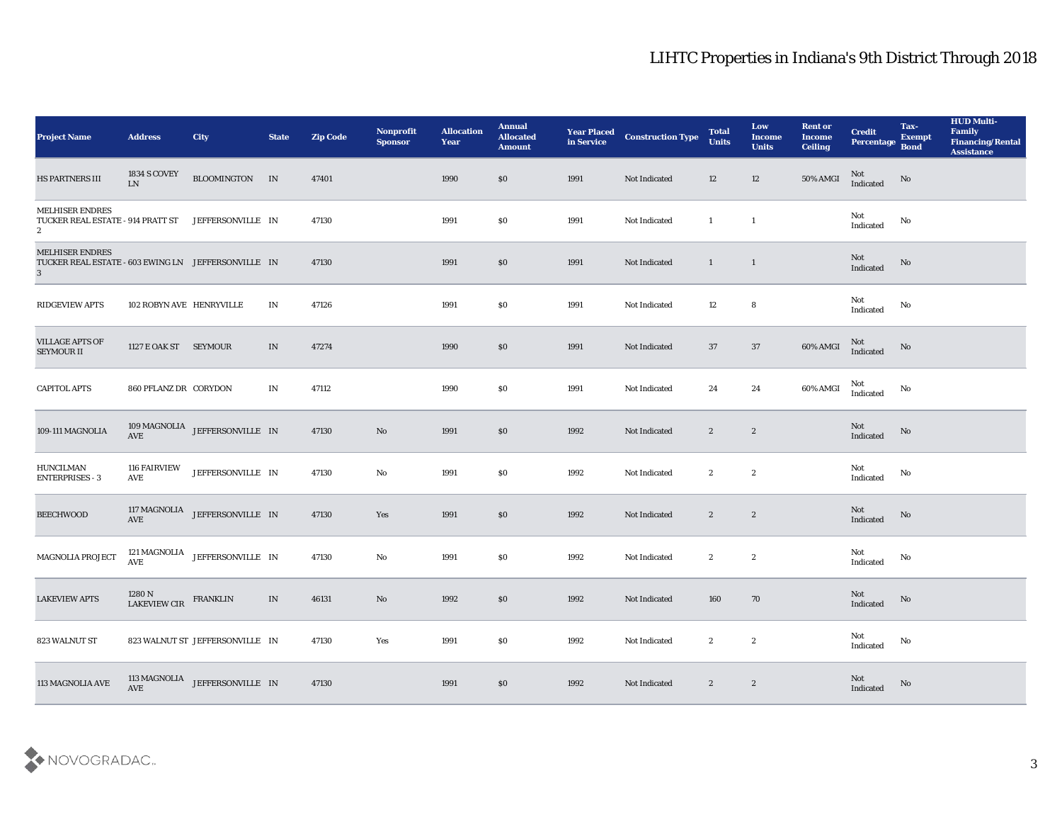| <b>Project Name</b>                                                                                 | <b>Address</b>                    | <b>City</b>                                                                                | <b>State</b> | <b>Zip Code</b> | Nonprofit<br><b>Sponsor</b> | <b>Allocation</b><br><b>Year</b> | <b>Annual</b><br><b>Allocated</b><br><b>Amount</b> | <b>Year Placed<br/>in Service</b> | <b>Construction Type</b> | <b>Total</b><br><b>Units</b> | Low<br><b>Income</b><br><b>Units</b> | <b>Rent or</b><br><b>Income</b><br><b>Ceiling</b> | <b>Credit</b><br>Percentage       | Tax-<br><b>Exempt</b><br><b>Bond</b> | <b>HUD Multi-</b><br>Family<br><b>Financing/Rental</b><br><b>Assistance</b> |
|-----------------------------------------------------------------------------------------------------|-----------------------------------|--------------------------------------------------------------------------------------------|--------------|-----------------|-----------------------------|----------------------------------|----------------------------------------------------|-----------------------------------|--------------------------|------------------------------|--------------------------------------|---------------------------------------------------|-----------------------------------|--------------------------------------|-----------------------------------------------------------------------------|
| HS PARTNERS III                                                                                     | <b>1834 S COVEY</b><br>${\rm LN}$ | BLOOMINGTON IN                                                                             |              | 47401           |                             | 1990                             | \$0                                                | 1991                              | Not Indicated            | 12                           | 12                                   | 50% AMGI                                          | Not<br>$\operatorname{Indicated}$ | No                                   |                                                                             |
| <b>MELHISER ENDRES</b><br>TUCKER REAL ESTATE - 914 PRATT ST<br>$\mathbf{2}$                         |                                   | JEFFERSONVILLE IN                                                                          |              | 47130           |                             | 1991                             | \$0                                                | 1991                              | Not Indicated            | $\mathbf{1}$                 | $\overline{1}$                       |                                                   | Not<br>Indicated                  | No                                   |                                                                             |
| <b>MELHISER ENDRES</b><br>TUCKER REAL ESTATE - 603 EWING LN JEFFERSONVILLE IN<br>3                  |                                   |                                                                                            |              | 47130           |                             | 1991                             | \$0                                                | 1991                              | Not Indicated            | $\mathbf{1}$                 | $\mathbf{1}$                         |                                                   | Not<br>Indicated                  | No                                   |                                                                             |
| <b>RIDGEVIEW APTS</b>                                                                               | 102 ROBYN AVE HENRYVILLE          |                                                                                            | IN           | 47126           |                             | 1991                             | \$0                                                | 1991                              | Not Indicated            | 12                           | 8                                    |                                                   | Not<br>Indicated                  | No                                   |                                                                             |
| <b>VILLAGE APTS OF</b><br><b>SEYMOUR II</b>                                                         | 1127 E OAK ST SEYMOUR             |                                                                                            | IN           | 47274           |                             | 1990                             | \$0                                                | 1991                              | Not Indicated            | 37                           | 37                                   | 60% AMGI                                          | $\rm Not$ Indicated               | No                                   |                                                                             |
| <b>CAPITOL APTS</b>                                                                                 | 860 PFLANZ DR CORYDON             |                                                                                            | IN           | 47112           |                             | 1990                             | \$0                                                | 1991                              | Not Indicated            | 24                           | 24                                   | 60% AMGI                                          | Not<br>Indicated                  | No                                   |                                                                             |
| 109-111 MAGNOLIA                                                                                    |                                   | $109\,{\rm MAGNOLIA}$ JEFFERSONVILLE IN AVE                                                |              | 47130           | $\mathbf{N}\mathbf{o}$      | 1991                             | \$0                                                | 1992                              | Not Indicated            | $\mathbf{2}$                 | $\mathbf{2}$                         |                                                   | Not<br>Indicated                  | No                                   |                                                                             |
| ${\bf H} {\bf U} {\bf N} {\bf C} {\bf I} {\bf L} {\bf M} {\bf A} {\bf N}$<br><b>ENTERPRISES - 3</b> | <b>116 FAIRVIEW</b><br>AVE        | JEFFERSONVILLE IN                                                                          |              | 47130           | $\rm\thinspace No$          | 1991                             | \$0                                                | 1992                              | Not Indicated            | $\boldsymbol{2}$             | $\boldsymbol{2}$                     |                                                   | Not<br>Indicated                  | No                                   |                                                                             |
| <b>BEECHWOOD</b>                                                                                    |                                   | $117\,{\rm MAGNOLIA}$ JEFFERSONVILLE IN AVE                                                |              | 47130           | Yes                         | 1991                             | \$0                                                | 1992                              | Not Indicated            | $\mathbf{2}$                 | $\boldsymbol{2}$                     |                                                   | Not<br>Indicated                  | No                                   |                                                                             |
| MAGNOLIA PROJECT                                                                                    | 121 MAGNOLIA<br>AVE               | JEFFERSONVILLE IN                                                                          |              | 47130           | $\mathbf{N}\mathbf{o}$      | 1991                             | \$0                                                | 1992                              | Not Indicated            | $\boldsymbol{2}$             | $\boldsymbol{2}$                     |                                                   | Not<br>Indicated                  | No                                   |                                                                             |
| <b>LAKEVIEW APTS</b>                                                                                | 1280 N<br>LAKEVIEW CIR            | <b>FRANKLIN</b>                                                                            | IN           | 46131           | No                          | 1992                             | \$0                                                | 1992                              | Not Indicated            | 160                          | 70                                   |                                                   | Not<br>Indicated                  | No                                   |                                                                             |
| 823 WALNUT ST                                                                                       |                                   | 823 WALNUT ST JEFFERSONVILLE IN                                                            |              | 47130           | Yes                         | 1991                             | $\$0$                                              | 1992                              | Not Indicated            | $\mathbf{2}$                 | $\mathbf{2}$                         |                                                   | Not<br>Indicated                  | $\mathbf {No}$                       |                                                                             |
| 113 MAGNOLIA AVE                                                                                    |                                   | $113\,\mathrm{MAGNOLIA}$<br><code>JEFFERSONVILLE<math display="inline">\,</math> IN</code> |              | 47130           |                             | 1991                             | \$0                                                | 1992                              | Not Indicated            | $\mathbf{2}$                 | $\boldsymbol{2}$                     |                                                   | Not<br>Indicated                  | No                                   |                                                                             |

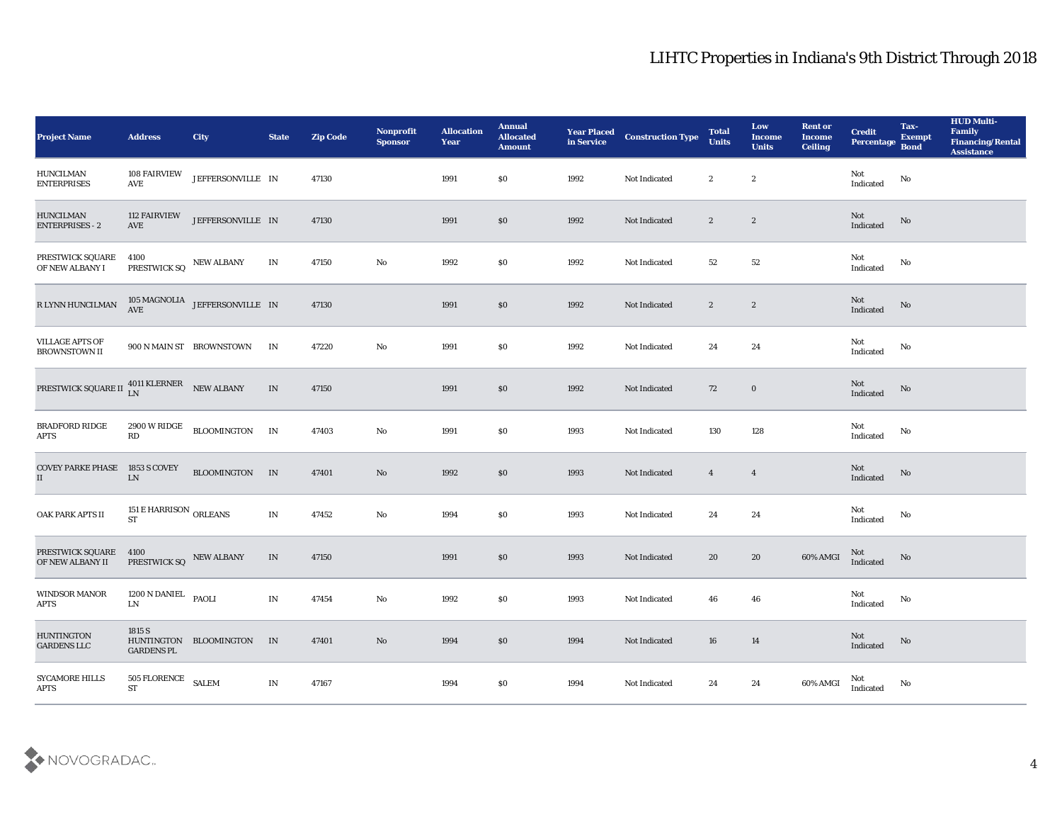| <b>Project Name</b>                                   | <b>Address</b>                            | City                                           | <b>State</b>             | <b>Zip Code</b> | Nonprofit<br><b>Sponsor</b> | <b>Allocation</b><br><b>Year</b> | <b>Annual</b><br><b>Allocated</b><br><b>Amount</b> | <b>Year Placed<br/>in Service</b> | <b>Construction Type</b> | <b>Total</b><br><b>Units</b> | Low<br><b>Income</b><br><b>Units</b> | <b>Rent or</b><br><b>Income</b><br><b>Ceiling</b> | <b>Credit</b><br>Percentage | Tax-<br><b>Exempt</b><br><b>Bond</b> | <b>HUD Multi-</b><br>Family<br><b>Financing/Rental</b><br><b>Assistance</b> |
|-------------------------------------------------------|-------------------------------------------|------------------------------------------------|--------------------------|-----------------|-----------------------------|----------------------------------|----------------------------------------------------|-----------------------------------|--------------------------|------------------------------|--------------------------------------|---------------------------------------------------|-----------------------------|--------------------------------------|-----------------------------------------------------------------------------|
| <b>HUNCILMAN</b><br><b>ENTERPRISES</b>                | <b>108 FAIRVIEW</b><br>AVE                | JEFFERSONVILLE IN                              |                          | 47130           |                             | 1991                             | $\$0$                                              | 1992                              | Not Indicated            | $\boldsymbol{2}$             | $\boldsymbol{2}$                     |                                                   | Not<br>Indicated            | No                                   |                                                                             |
| <b>HUNCILMAN</b><br><b>ENTERPRISES - 2</b>            | <b>112 FAIRVIEW</b><br>AVE                | JEFFERSONVILLE IN                              |                          | 47130           |                             | 1991                             | \$0                                                | 1992                              | Not Indicated            | $\mathbf{2}$                 | $\boldsymbol{2}$                     |                                                   | Not<br>Indicated            | No                                   |                                                                             |
| PRESTWICK SQUARE<br>OF NEW ALBANY I                   | 4100<br>PRESTWICK SQ                      | <b>NEW ALBANY</b>                              | IN                       | 47150           | $\mathbf {No}$              | 1992                             | \$0                                                | 1992                              | Not Indicated            | 52                           | 52                                   |                                                   | Not<br>Indicated            | No                                   |                                                                             |
| R LYNN HUNCILMAN                                      |                                           | $105\,\mathrm{MAGNOLIA}$ JEFFERSONVILLE IN AVE |                          | 47130           |                             | 1991                             | \$0                                                | 1992                              | Not Indicated            | $\mathbf{2}$                 | $\boldsymbol{2}$                     |                                                   | Not<br>Indicated            | No                                   |                                                                             |
| <b>VILLAGE APTS OF</b><br><b>BROWNSTOWN II</b>        |                                           | 900 N MAIN ST BROWNSTOWN                       | IN                       | 47220           | $\rm\thinspace No$          | 1991                             | \$0                                                | 1992                              | <b>Not Indicated</b>     | 24                           | 24                                   |                                                   | Not<br>Indicated            | No                                   |                                                                             |
| PRESTWICK SQUARE II $_{LN}^{4011}$ KLERNER NEW ALBANY |                                           |                                                | IN                       | 47150           |                             | 1991                             | \$0                                                | 1992                              | Not Indicated            | 72                           | $\bf{0}$                             |                                                   | Not<br>Indicated            | No                                   |                                                                             |
| <b>BRADFORD RIDGE</b><br><b>APTS</b>                  | 2900 W RIDGE<br>RD                        | <b>BLOOMINGTON</b>                             | IN                       | 47403           | No                          | 1991                             | $\$0$                                              | 1993                              | Not Indicated            | 130                          | 128                                  |                                                   | Not<br>Indicated            | No                                   |                                                                             |
| <b>COVEY PARKE PHASE 1853 S COVEY</b><br>$\rm II$     | ${\rm LN}$                                | <b>BLOOMINGTON</b>                             | IN                       | 47401           | $\mathbf{N}\mathbf{o}$      | 1992                             | \$0                                                | 1993                              | Not Indicated            | $\overline{4}$               | $\overline{4}$                       |                                                   | Not<br>Indicated            | $\rm No$                             |                                                                             |
| OAK PARK APTS II                                      | 151 E HARRISON ORLEANS<br><b>ST</b>       |                                                | $\ensuremath{\text{IN}}$ | 47452           | $\rm\thinspace No$          | 1994                             | \$0                                                | 1993                              | Not Indicated            | 24                           | 24                                   |                                                   | Not<br>Indicated            | $\mathbf{N}\mathbf{o}$               |                                                                             |
| PRESTWICK SQUARE<br>OF NEW ALBANY II                  | 4100<br>PRESTWICK SQ NEW ALBANY           |                                                | IN                       | 47150           |                             | 1991                             | \$0                                                | 1993                              | Not Indicated            | 20                           | $20\,$                               | 60% AMGI                                          | Not<br>Indicated            | No                                   |                                                                             |
| <b>WINDSOR MANOR</b><br><b>APTS</b>                   | 1200 N DANIEL PAOLI<br>${\rm LN}$         |                                                | $\mathbf{IN}$            | 47454           | No                          | 1992                             | \$0                                                | 1993                              | Not Indicated            | 46                           | 46                                   |                                                   | Not<br>Indicated            | No                                   |                                                                             |
| <b>HUNTINGTON</b><br><b>GARDENS LLC</b>               | 1815 S<br><b>GARDENS PL</b>               | HUNTINGTON BLOOMINGTON IN                      |                          | 47401           | $\rm\, No$                  | 1994                             | $\$0$                                              | 1994                              | Not Indicated            | 16                           | 14                                   |                                                   | Not<br>Indicated            | $\rm \bf No$                         |                                                                             |
| <b>SYCAMORE HILLS</b><br>APTS                         | $505$ FLORENCE $\quad$ SALEM<br><b>ST</b> |                                                | $\mathbf{IN}$            | 47167           |                             | 1994                             | $\$0$                                              | 1994                              | Not Indicated            | 24                           | $\bf 24$                             | 60% AMGI                                          | Not<br>Indicated            | $\rm\, No$                           |                                                                             |

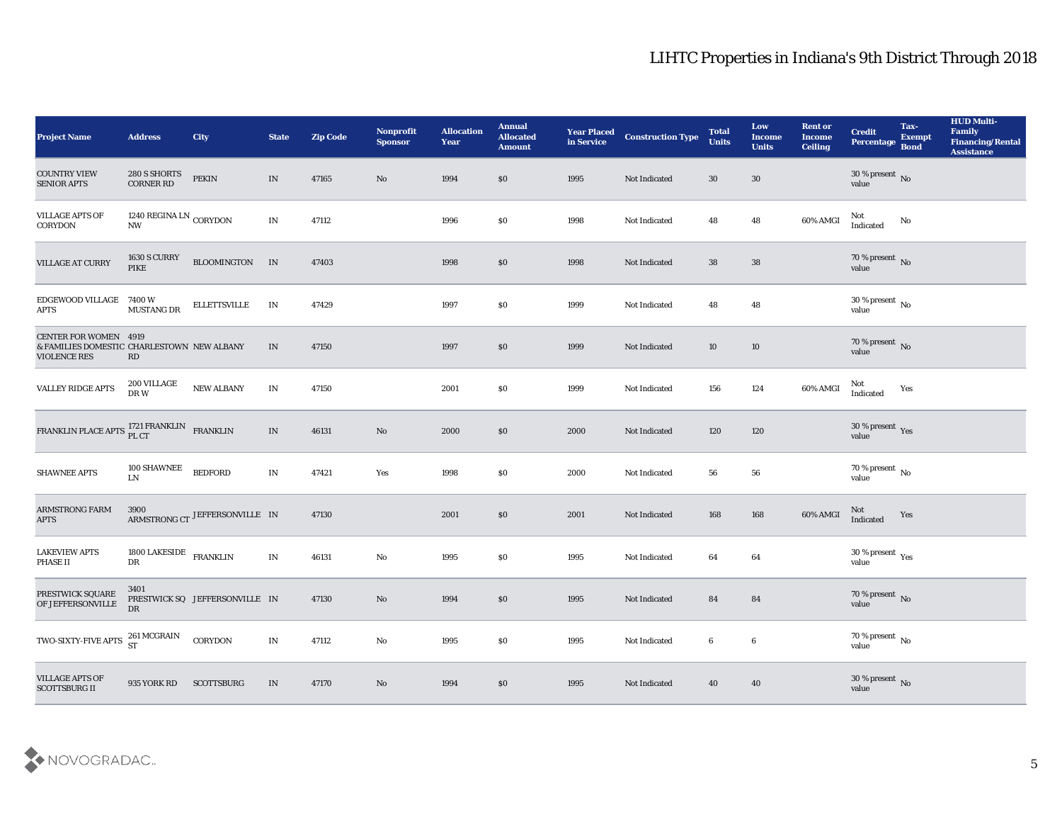| <b>Project Name</b>                                                                               | <b>Address</b>                                            | <b>City</b>                    | <b>State</b>             | <b>Zip Code</b> | Nonprofit<br><b>Sponsor</b> | <b>Allocation</b><br><b>Year</b> | <b>Annual</b><br><b>Allocated</b><br><b>Amount</b> | <b>Year Placed</b><br>in Service | <b>Construction Type</b> | <b>Total</b><br><b>Units</b> | Low<br><b>Income</b><br><b>Units</b> | <b>Rent or</b><br><b>Income</b><br><b>Ceiling</b> | <b>Credit</b><br>Percentage Bond | Tax-<br><b>Exempt</b> | <b>HUD Multi-</b><br>Family<br><b>Financing/Rental</b><br><b>Assistance</b> |
|---------------------------------------------------------------------------------------------------|-----------------------------------------------------------|--------------------------------|--------------------------|-----------------|-----------------------------|----------------------------------|----------------------------------------------------|----------------------------------|--------------------------|------------------------------|--------------------------------------|---------------------------------------------------|----------------------------------|-----------------------|-----------------------------------------------------------------------------|
| <b>COUNTRY VIEW</b><br><b>SENIOR APTS</b>                                                         | 280 S SHORTS<br><b>CORNER RD</b>                          | PEKIN                          | IN                       | 47165           | No                          | 1994                             | \$0                                                | 1995                             | Not Indicated            | 30                           | 30                                   |                                                   | $30\,\%$ present $\,$ No value   |                       |                                                                             |
| <b>VILLAGE APTS OF</b><br>CORYDON                                                                 | 1240 REGINA LN $_{\rm CORYDOM}$<br>$\mathbf{N}\mathbf{W}$ |                                | $\mathbf{IN}$            | 47112           |                             | 1996                             | \$0                                                | 1998                             | Not Indicated            | 48                           | 48                                   | 60% AMGI                                          | Not<br>Indicated                 | No                    |                                                                             |
| VILLAGE AT CURRY                                                                                  | <b>1630 S CURRY</b><br>PIKE                               | BLOOMINGTON IN                 |                          | 47403           |                             | 1998                             | \$0                                                | 1998                             | Not Indicated            | 38                           | 38                                   |                                                   | $70\,\%$ present $\,$ No value   |                       |                                                                             |
| EDGEWOOD VILLAGE 7400 W<br><b>APTS</b>                                                            | MUSTANG DR                                                | <b>ELLETTSVILLE</b>            | IN                       | 47429           |                             | 1997                             | \$0                                                | 1999                             | Not Indicated            | 48                           | 48                                   |                                                   | $30\,\%$ present $\,$ No value   |                       |                                                                             |
| <b>CENTER FOR WOMEN 4919</b><br>& FAMILIES DOMESTIC CHARLESTOWN NEW ALBANY<br><b>VIOLENCE RES</b> | <b>RD</b>                                                 |                                | IN                       | 47150           |                             | 1997                             | \$0                                                | 1999                             | Not Indicated            | 10                           | 10                                   |                                                   | $70\,\%$ present $\,$ No value   |                       |                                                                             |
| VALLEY RIDGE APTS                                                                                 | 200 VILLAGE<br>${\rm DR}\:{\rm W}$                        | NEW ALBANY                     | $\mathbf{IN}$            | 47150           |                             | 2001                             | \$0                                                | 1999                             | Not Indicated            | 156                          | 124                                  | 60% AMGI                                          | Not<br>Indicated                 | Yes                   |                                                                             |
| FRANKLIN PLACE APTS PL CT FRANKLIN FRANKLIN                                                       |                                                           |                                | IN                       | 46131           | $\mathbf{N}\mathbf{o}$      | 2000                             | \$0                                                | 2000                             | Not Indicated            | 120                          | 120                                  |                                                   | $30\,\%$ present $\,$ Yes value  |                       |                                                                             |
| <b>SHAWNEE APTS</b>                                                                               | 100 SHAWNEE<br>LN                                         | <b>BEDFORD</b>                 | IN                       | 47421           | Yes                         | 1998                             | \$0                                                | 2000                             | Not Indicated            | 56                           | 56                                   |                                                   | $70\,\%$ present $\,$ No value   |                       |                                                                             |
| <b>ARMSTRONG FARM</b><br><b>APTS</b>                                                              |                                                           | ARMSTRONG CT JEFFERSONVILLE IN |                          | 47130           |                             | 2001                             | \$0                                                | 2001                             | Not Indicated            | 168                          | 168                                  | 60% AMGI                                          | $\rm Not$ Indicated              | Yes                   |                                                                             |
| <b>LAKEVIEW APTS</b><br><b>PHASE II</b>                                                           | 1800 LAKESIDE FRANKLIN<br>DR                              |                                | $\ensuremath{\text{IN}}$ | 46131           | $\mathbf{N}\mathbf{o}$      | 1995                             | \$0                                                | 1995                             | Not Indicated            | 64                           | 64                                   |                                                   | $30\,\%$ present $\,$ Yes value  |                       |                                                                             |
| PRESTWICK SQUARE<br>OF JEFFERSONVILLE                                                             | 3401<br>DR                                                | PRESTWICK SQ JEFFERSONVILLE IN |                          | 47130           | No                          | 1994                             | \$0                                                | 1995                             | Not Indicated            | 84                           | 84                                   |                                                   | $70\,\%$ present $\,$ No value   |                       |                                                                             |
| $\operatorname{TWO-SIXTY-FIVE\,APTS}$                                                             | 261 MCGRAIN<br>ST                                         | CORYDON                        | $\mathbf{IN}$            | 47112           | $\rm\thinspace No$          | 1995                             | $\$0$                                              | 1995                             | Not Indicated            | $\bf 6$                      | $\bf 6$                              |                                                   | $70\,\%$ present $\,$ No value   |                       |                                                                             |
| <b>VILLAGE APTS OF</b><br><b>SCOTTSBURG II</b>                                                    | 935 YORK RD                                               | <b>SCOTTSBURG</b>              | IN                       | 47170           | $\rm\thinspace No$          | 1994                             | $\$0$                                              | 1995                             | Not Indicated            | 40                           | 40                                   |                                                   | $30\,\%$ present $\,$ No value   |                       |                                                                             |

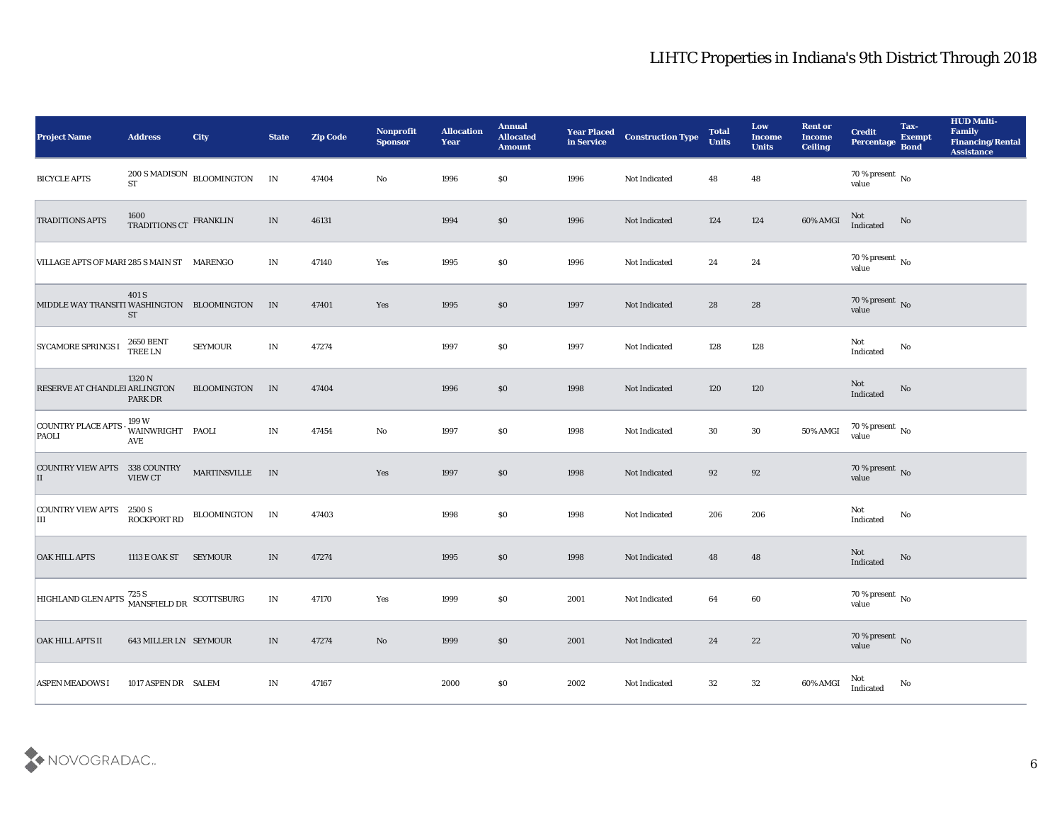| <b>Project Name</b>                                                      | <b>Address</b>                      | City                                             | <b>State</b>                    | <b>Zip Code</b> | Nonprofit<br><b>Sponsor</b> | <b>Allocation</b><br><b>Year</b> | <b>Annual</b><br><b>Allocated</b><br><b>Amount</b> | <b>Year Placed</b><br>in Service | <b>Construction Type</b> | <b>Total</b><br><b>Units</b> | Low<br><b>Income</b><br><b>Units</b> | <b>Rent or</b><br><b>Income</b><br><b>Ceiling</b> | <b>Credit</b><br>Percentage Bond    | Tax-<br><b>Exempt</b> | <b>HUD Multi-</b><br>Family<br><b>Financing/Rental</b><br><b>Assistance</b> |
|--------------------------------------------------------------------------|-------------------------------------|--------------------------------------------------|---------------------------------|-----------------|-----------------------------|----------------------------------|----------------------------------------------------|----------------------------------|--------------------------|------------------------------|--------------------------------------|---------------------------------------------------|-------------------------------------|-----------------------|-----------------------------------------------------------------------------|
| <b>BICYCLE APTS</b>                                                      |                                     | $200$ S MADISON $\,$ BLOOMINGTON $\,$ IN ST $\,$ |                                 | 47404           | No                          | 1996                             | \$0                                                | 1996                             | Not Indicated            | 48                           | 48                                   |                                                   | 70 % present No<br>value            |                       |                                                                             |
| <b>TRADITIONS APTS</b>                                                   | 1600 TRADITIONS CT $$\tt FRANKLIN$$ |                                                  | IN                              | 46131           |                             | 1994                             | \$0                                                | 1996                             | Not Indicated            | 124                          | 124                                  | 60% AMGI                                          | Not<br>Indicated                    | No                    |                                                                             |
| VILLAGE APTS OF MARI 285 S MAIN ST MARENGO                               |                                     |                                                  | IN                              | 47140           | Yes                         | 1995                             | \$0                                                | 1996                             | Not Indicated            | 24                           | 24                                   |                                                   | $70\,\%$ present $\,$ No value      |                       |                                                                             |
| MIDDLE WAY TRANSITI WASHINGTON BLOOMINGTON                               | 401 S<br><b>ST</b>                  |                                                  | IN                              | 47401           | Yes                         | 1995                             | \$0                                                | 1997                             | Not Indicated            | 28                           | 28                                   |                                                   | $70\,\%$ present $\,$ No value      |                       |                                                                             |
| <b>SYCAMORE SPRINGS I</b>                                                | <b>2650 BENT</b><br><b>TREE LN</b>  | <b>SEYMOUR</b>                                   | IN                              | 47274           |                             | 1997                             | \$0                                                | 1997                             | Not Indicated            | 128                          | 128                                  |                                                   | Not<br>Indicated                    | No                    |                                                                             |
| RESERVE AT CHANDLEI ARLINGTON                                            | 1320 N<br>PARK DR                   | <b>BLOOMINGTON</b>                               | IN                              | 47404           |                             | 1996                             | \$0                                                | 1998                             | Not Indicated            | 120                          | 120                                  |                                                   | Not<br>Indicated                    | No                    |                                                                             |
| <b>COUNTRY PLACE APTS</b><br>PAOLI                                       | 199 W<br>WAINWRIGHT PAOLI<br>AVE    |                                                  | IN                              | 47454           | No                          | 1997                             | \$0                                                | 1998                             | Not Indicated            | 30                           | 30                                   | 50% AMGI                                          | $70\,\% \,present \over 0$ No       |                       |                                                                             |
| COUNTRY VIEW APTS 338 COUNTRY<br>П                                       | <b>VIEW CT</b>                      | <b>MARTINSVILLE</b>                              | IN                              |                 | Yes                         | 1997                             | \$0                                                | 1998                             | Not Indicated            | 92                           | 92                                   |                                                   | $70\,\%$ present $\,$ No $\,$ value |                       |                                                                             |
| <b>COUNTRY VIEW APTS 2500 S</b><br>IШ                                    | <b>ROCKPORT RD</b>                  | BLOOMINGTON                                      | IN                              | 47403           |                             | 1998                             | \$0                                                | 1998                             | Not Indicated            | 206                          | 206                                  |                                                   | Not<br>Indicated                    | No                    |                                                                             |
| <b>OAK HILL APTS</b>                                                     | 1113 E OAK ST SEYMOUR               |                                                  | IN                              | 47274           |                             | 1995                             | \$0                                                | 1998                             | Not Indicated            | 48                           | 48                                   |                                                   | Not<br>Indicated                    | No                    |                                                                             |
| HIGHLAND GLEN APTS $\frac{725 \text{ S}}{\text{MANSFELD DR}}$ SCOTTSBURG |                                     |                                                  | $\mathbf{IN}$                   | 47170           | Yes                         | 1999                             | \$0                                                | 2001                             | Not Indicated            | 64                           | 60                                   |                                                   | 70 % present No<br>value            |                       |                                                                             |
| OAK HILL APTS II                                                         | 643 MILLER LN SEYMOUR               |                                                  | $\ensuremath{\text{IN}}\xspace$ | 47274           | $\rm\thinspace No$          | 1999                             | \$0                                                | 2001                             | Not Indicated            | 24                           | $22\,$                               |                                                   | $70\,\%$ present $\,$ No value      |                       |                                                                             |
| <b>ASPEN MEADOWS I</b>                                                   | 1017 ASPEN DR SALEM                 |                                                  | IN                              | 47167           |                             | 2000                             | $\$0$                                              | 2002                             | Not Indicated            | $32\phantom{.0}$             | $32\,$                               | 60% AMGI                                          | Not<br>Indicated                    | $\mathbf {No}$        |                                                                             |

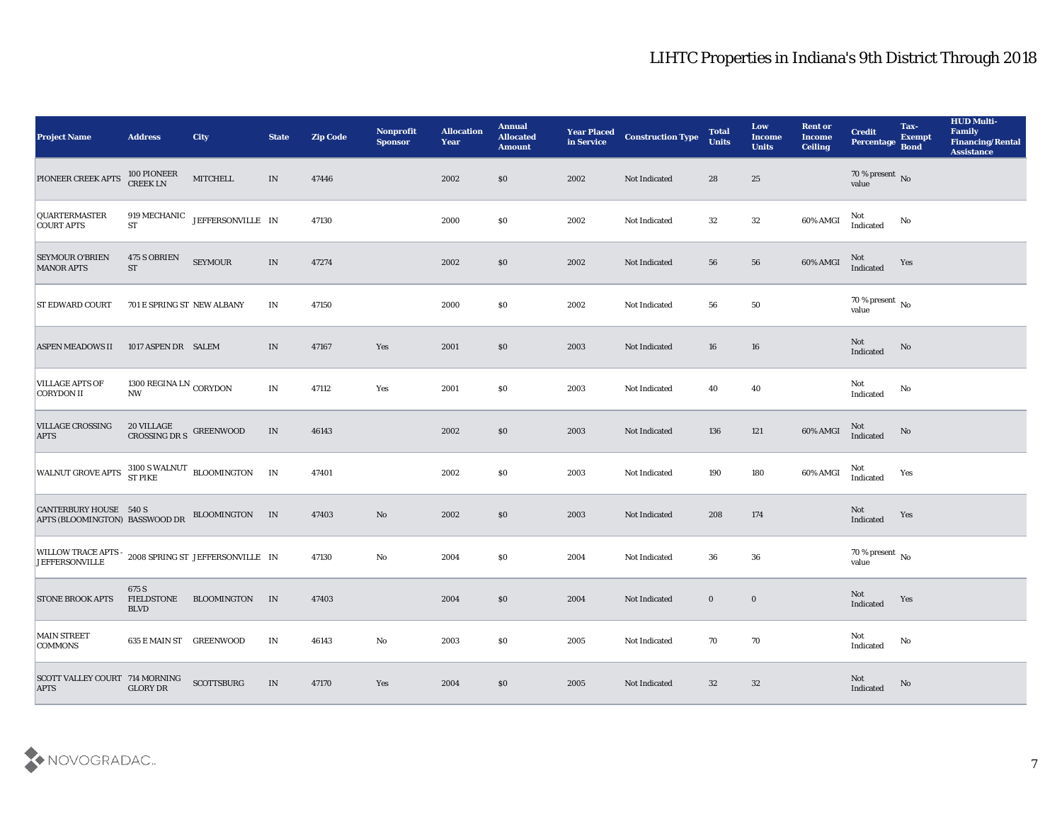| <b>Project Name</b>                                                           | <b>Address</b>                                                | <b>City</b>                          | <b>State</b>                    | <b>Zip Code</b> | Nonprofit<br><b>Sponsor</b> | <b>Allocation</b><br><b>Year</b> | <b>Annual</b><br><b>Allocated</b><br><b>Amount</b> | <b>Year Placed</b><br>in Service | <b>Construction Type</b> | <b>Total</b><br><b>Units</b> | Low<br>Income<br><b>Units</b> | <b>Rent or</b><br><b>Income</b><br><b>Ceiling</b> | <b>Credit</b><br>Percentage       | Tax-<br><b>Exempt</b><br><b>Bond</b> | <b>HUD Multi-</b><br>Family<br><b>Financing/Rental</b><br><b>Assistance</b> |
|-------------------------------------------------------------------------------|---------------------------------------------------------------|--------------------------------------|---------------------------------|-----------------|-----------------------------|----------------------------------|----------------------------------------------------|----------------------------------|--------------------------|------------------------------|-------------------------------|---------------------------------------------------|-----------------------------------|--------------------------------------|-----------------------------------------------------------------------------|
| PIONEER CREEK APTS                                                            | 100 PIONEER<br>CREEK LN                                       | MITCHELL                             | IN                              | 47446           |                             | 2002                             | \$0                                                | 2002                             | Not Indicated            | 28                           | 25                            |                                                   | $70\,\%$ present $\,$ No value    |                                      |                                                                             |
| <b>QUARTERMASTER</b><br><b>COURT APTS</b>                                     | $\operatorname{\mathbf{ST}}$                                  | 919 MECHANIC JEFFERSONVILLE IN       |                                 | 47130           |                             | 2000                             | $\$0$                                              | 2002                             | Not Indicated            | 32                           | 32                            | 60% AMGI                                          | Not<br>Indicated                  | No                                   |                                                                             |
| <b>SEYMOUR O'BRIEN</b><br><b>MANOR APTS</b>                                   | 475 S OBRIEN<br><b>ST</b>                                     | SEYMOUR                              | $\ensuremath{\text{IN}}\xspace$ | 47274           |                             | 2002                             | \$0                                                | 2002                             | Not Indicated            | 56                           | ${\bf 56}$                    | 60% AMGI                                          | Not<br>Indicated                  | Yes                                  |                                                                             |
| <b>ST EDWARD COURT</b>                                                        | 701 E SPRING ST NEW ALBANY                                    |                                      | IN                              | 47150           |                             | 2000                             | \$0\$                                              | 2002                             | Not Indicated            | 56                           | ${\bf 50}$                    |                                                   | $70\,\%$ present $\,$ No value    |                                      |                                                                             |
| <b>ASPEN MEADOWS II</b>                                                       | 1017 ASPEN DR SALEM                                           |                                      | IN                              | 47167           | Yes                         | 2001                             | \$0                                                | 2003                             | Not Indicated            | 16                           | 16                            |                                                   | Not<br>Indicated                  | No                                   |                                                                             |
| <b>VILLAGE APTS OF</b><br><b>CORYDON II</b>                                   | 1300 REGINA LN $_{\rm CORYDOM}$<br>$\mathbf{N}\mathbf{W}$     |                                      | $\ensuremath{\text{IN}}\xspace$ | 47112           | Yes                         | 2001                             | \$0\$                                              | 2003                             | Not Indicated            | 40                           | 40                            |                                                   | Not<br>Indicated                  | No                                   |                                                                             |
| <b>VILLAGE CROSSING</b><br><b>APTS</b>                                        | $20$ VILLAGE $$\sf{G}\textsc{REENWOOD}$$ CROSSING DR $\sf{S}$ |                                      | $\ensuremath{\text{IN}}\xspace$ | 46143           |                             | 2002                             | \$0                                                | 2003                             | Not Indicated            | 136                          | 121                           | 60% AMGI                                          | Not<br>Indicated                  | No                                   |                                                                             |
| <b>WALNUT GROVE APTS</b>                                                      |                                                               | 3100 S WALNUT BLOOMINGTON<br>ST PIKE | IN                              | 47401           |                             | 2002                             | \$0                                                | 2003                             | Not Indicated            | 190                          | 180                           | 60% AMGI                                          | Not<br>Indicated                  | Yes                                  |                                                                             |
| <b>CANTERBURY HOUSE 540 S</b><br>APTS (BLOOMINGTON) BASSWOOD DR               |                                                               | BLOOMINGTON IN                       |                                 | 47403           | No                          | 2002                             | \$0                                                | 2003                             | Not Indicated            | 208                          | 174                           |                                                   | Not<br>Indicated                  | Yes                                  |                                                                             |
| WILLOW TRACE APTS - 2008 SPRING ST JEFFERSONVILLE IN<br><b>JEFFERSONVILLE</b> |                                                               |                                      |                                 | 47130           | No                          | 2004                             | \$0                                                | 2004                             | Not Indicated            | 36                           | 36                            |                                                   | $70\,\%$ present $\,$ No value    |                                      |                                                                             |
| <b>STONE BROOK APTS</b>                                                       | 675 S<br>FIELDSTONE<br><b>BLVD</b>                            | BLOOMINGTON                          | IN                              | 47403           |                             | 2004                             | \$0                                                | 2004                             | Not Indicated            | $\bf{0}$                     | $\bf{0}$                      |                                                   | Not<br>Indicated                  | Yes                                  |                                                                             |
| MAIN STREET<br><b>COMMONS</b>                                                 | 635 E MAIN ST GREENWOOD                                       |                                      | $\mathbf{IN}$                   | 46143           | $\mathbf {No}$              | 2003                             | $\$0$                                              | 2005                             | Not Indicated            | 70                           | $70\,$                        |                                                   | Not<br>$\operatorname{Indicated}$ | $\mathbf{N}\mathbf{o}$               |                                                                             |
| SCOTT VALLEY COURT 714 MORNING<br><b>APTS</b>                                 | <b>GLORY DR</b>                                               | <b>SCOTTSBURG</b>                    | $\ensuremath{\text{IN}}\xspace$ | 47170           | Yes                         | 2004                             | \$0                                                | 2005                             | Not Indicated            | 32                           | 32                            |                                                   | Not<br>Indicated                  | No                                   |                                                                             |

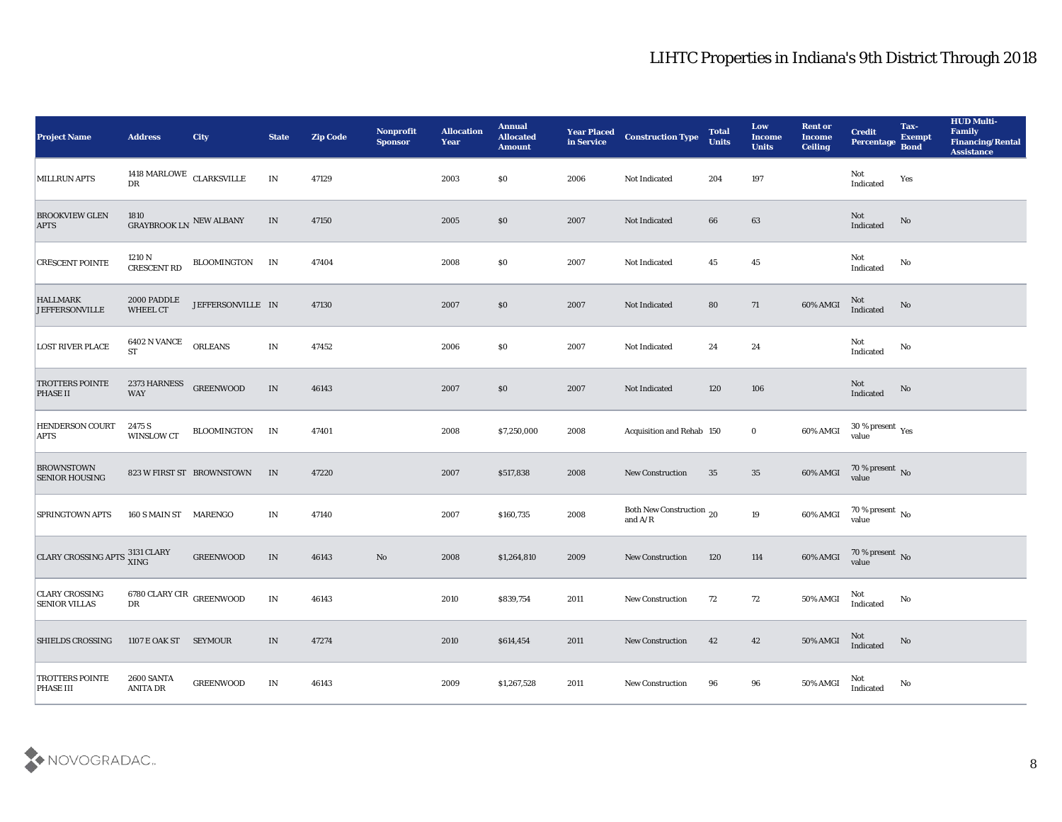| <b>Project Name</b>                           | <b>Address</b>                                | <b>City</b>               | <b>State</b>             | <b>Zip Code</b> | Nonprofit<br><b>Sponsor</b> | <b>Allocation</b><br><b>Year</b> | <b>Annual</b><br><b>Allocated</b><br><b>Amount</b> | <b>Year Placed</b><br>in Service | <b>Construction Type</b>              | <b>Total</b><br><b>Units</b> | Low<br><b>Income</b><br><b>Units</b> | <b>Rent or</b><br><b>Income</b><br><b>Ceiling</b> | <b>Credit</b><br><b>Percentage</b>  | Tax-<br><b>Exempt</b><br><b>Bond</b> | <b>HUD Multi-</b><br>Family<br><b>Financing/Rental</b><br><b>Assistance</b> |
|-----------------------------------------------|-----------------------------------------------|---------------------------|--------------------------|-----------------|-----------------------------|----------------------------------|----------------------------------------------------|----------------------------------|---------------------------------------|------------------------------|--------------------------------------|---------------------------------------------------|-------------------------------------|--------------------------------------|-----------------------------------------------------------------------------|
| <b>MILLRUN APTS</b>                           | $1418$ MARLOWE $\,$ CLARKSVILLE<br>${\rm DR}$ |                           | $\ensuremath{\text{IN}}$ | 47129           |                             | 2003                             | \$0                                                | 2006                             | Not Indicated                         | 204                          | 197                                  |                                                   | Not<br>Indicated                    | Yes                                  |                                                                             |
| <b>BROOKVIEW GLEN</b><br><b>APTS</b>          | 1810<br>GRAYBROOK LN NEW ALBANY               |                           | IN                       | 47150           |                             | 2005                             | \$0                                                | 2007                             | Not Indicated                         | 66                           | 63                                   |                                                   | Not<br>Indicated                    | No                                   |                                                                             |
| <b>CRESCENT POINTE</b>                        | 1210 N<br>CRESCENT RD                         | BLOOMINGTON               | IN                       | 47404           |                             | 2008                             | \$0                                                | 2007                             | Not Indicated                         | 45                           | 45                                   |                                                   | Not<br>Indicated                    | No                                   |                                                                             |
| <b>HALLMARK</b><br><b>JEFFERSONVILLE</b>      | 2000 PADDLE<br>WHEEL CT                       | JEFFERSONVILLE IN         |                          | 47130           |                             | 2007                             | \$0                                                | 2007                             | Not Indicated                         | 80                           | 71                                   | 60% AMGI                                          | Not<br>Indicated                    | No                                   |                                                                             |
| <b>LOST RIVER PLACE</b>                       | <b>6402 N VANCE</b><br><b>ST</b>              | <b>ORLEANS</b>            | IN                       | 47452           |                             | 2006                             | \$0                                                | 2007                             | Not Indicated                         | 24                           | 24                                   |                                                   | Not<br>$\operatorname{Indicated}$   | No                                   |                                                                             |
| <b>TROTTERS POINTE</b><br><b>PHASE II</b>     | 2373 HARNESS<br><b>WAY</b>                    | <b>GREENWOOD</b>          | IN                       | 46143           |                             | 2007                             | \$0                                                | 2007                             | Not Indicated                         | 120                          | 106                                  |                                                   | Not<br>Indicated                    | No                                   |                                                                             |
| <b>HENDERSON COURT</b><br><b>APTS</b>         | 2475 S<br><b>WINSLOW CT</b>                   | <b>BLOOMINGTON</b>        | IN                       | 47401           |                             | 2008                             | \$7,250,000                                        | 2008                             | Acquisition and Rehab 150             |                              | $\bf{0}$                             | 60% AMGI                                          | $30\,\%$ present $\,$ Yes value     |                                      |                                                                             |
| <b>BROWNSTOWN</b><br><b>SENIOR HOUSING</b>    |                                               | 823 W FIRST ST BROWNSTOWN | IN                       | 47220           |                             | 2007                             | \$517,838                                          | 2008                             | <b>New Construction</b>               | 35                           | 35                                   | $60\%$ AMGI                                       | $70\,\%$ present $\,$ No $\,$ value |                                      |                                                                             |
| <b>SPRINGTOWN APTS</b>                        | 160 S MAIN ST MARENGO                         |                           | IN                       | 47140           |                             | 2007                             | \$160,735                                          | 2008                             | Both New Construction 20<br>and $A/R$ |                              | 19                                   | 60% AMGI                                          | $70\,\%$ present $\,$ No value      |                                      |                                                                             |
| CLARY CROSSING APTS 3131 CLARY                |                                               | <b>GREENWOOD</b>          | $\ensuremath{\text{IN}}$ | 46143           | No                          | 2008                             | \$1,264,810                                        | 2009                             | <b>New Construction</b>               | 120                          | 114                                  | 60% AMGI                                          | $70\,\%$ present $\,$ No value      |                                      |                                                                             |
| <b>CLARY CROSSING</b><br><b>SENIOR VILLAS</b> | 6780 CLARY CIR $_{\rm GREENWOOD}$<br>DR       |                           | IN                       | 46143           |                             | 2010                             | \$839,754                                          | 2011                             | <b>New Construction</b>               | 72                           | 72                                   | 50% AMGI                                          | Not<br>Indicated                    | No                                   |                                                                             |
| <b>SHIELDS CROSSING</b>                       | 1107 E OAK ST SEYMOUR                         |                           | IN                       | 47274           |                             | 2010                             | \$614,454                                          | 2011                             | <b>New Construction</b>               | 42                           | 42                                   | 50% AMGI                                          | Not<br>Indicated                    | $\mathbf {No}$                       |                                                                             |
| <b>TROTTERS POINTE</b><br><b>PHASE III</b>    | <b>2600 SANTA</b><br>ANITA DR                 | <b>GREENWOOD</b>          | IN                       | 46143           |                             | 2009                             | \$1,267,528                                        | 2011                             | New Construction                      | 96                           | 96                                   | 50% AMGI                                          | Not<br>Indicated                    | $\mathbf {No}$                       |                                                                             |